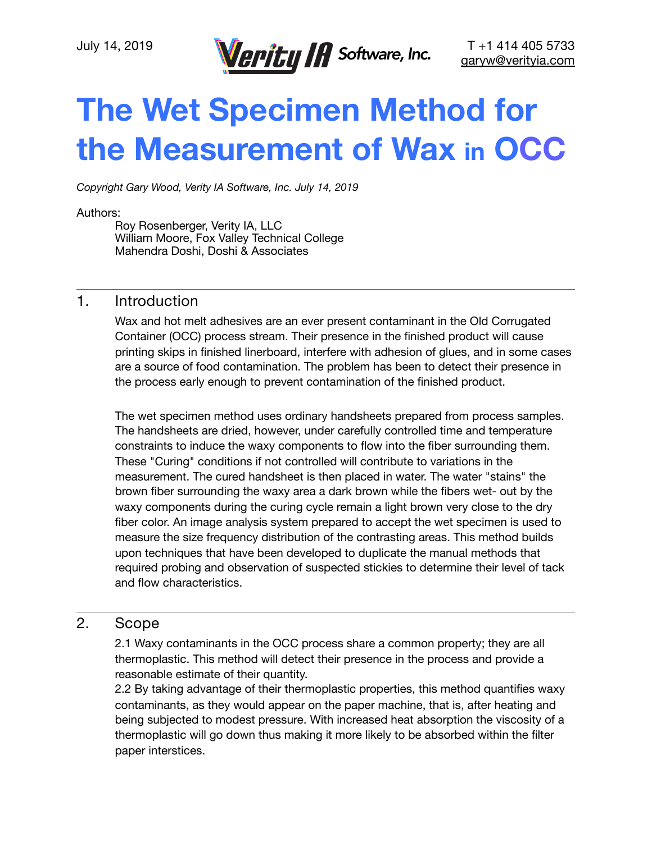

# **The Wet Specimen Method for the Measurement of Wax in OCC**

*Copyright Gary Wood, Verity IA Software, Inc. July 14, 2019* 

#### Authors:

Roy Rosenberger, Verity IA, LLC William Moore, Fox Valley Technical College Mahendra Doshi, Doshi & Associates

## 1. Introduction

Wax and hot melt adhesives are an ever present contaminant in the Old Corrugated Container (OCC) process stream. Their presence in the finished product will cause printing skips in finished linerboard, interfere with adhesion of glues, and in some cases are a source of food contamination. The problem has been to detect their presence in the process early enough to prevent contamination of the finished product.

The wet specimen method uses ordinary handsheets prepared from process samples. The handsheets are dried, however, under carefully controlled time and temperature constraints to induce the waxy components to flow into the fiber surrounding them. These "Curing" conditions if not controlled will contribute to variations in the measurement. The cured handsheet is then placed in water. The water "stains" the brown fiber surrounding the waxy area a dark brown while the fibers wet- out by the waxy components during the curing cycle remain a light brown very close to the dry fiber color. An image analysis system prepared to accept the wet specimen is used to measure the size frequency distribution of the contrasting areas. This method builds upon techniques that have been developed to duplicate the manual methods that required probing and observation of suspected stickies to determine their level of tack and flow characteristics.

## 2. Scope

2.1 Waxy contaminants in the OCC process share a common property; they are all thermoplastic. This method will detect their presence in the process and provide a reasonable estimate of their quantity.

2.2 By taking advantage of their thermoplastic properties, this method quantifies waxy contaminants, as they would appear on the paper machine, that is, after heating and being subjected to modest pressure. With increased heat absorption the viscosity of a thermoplastic will go down thus making it more likely to be absorbed within the filter paper interstices.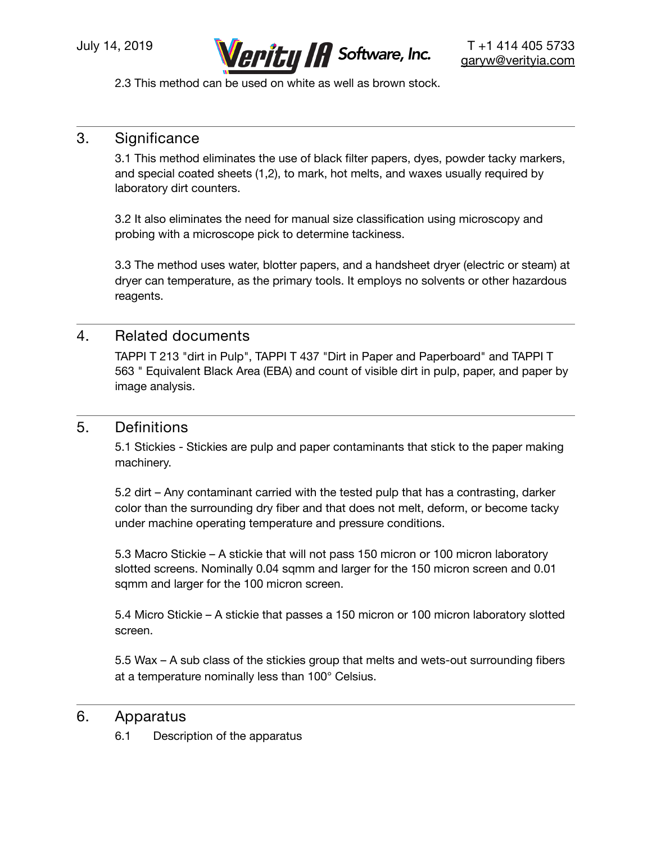

2.3 This method can be used on white as well as brown stock.

# 3. Significance

3.1 This method eliminates the use of black filter papers, dyes, powder tacky markers, and special coated sheets (1,2), to mark, hot melts, and waxes usually required by laboratory dirt counters.

3.2 It also eliminates the need for manual size classification using microscopy and probing with a microscope pick to determine tackiness.

3.3 The method uses water, blotter papers, and a handsheet dryer (electric or steam) at dryer can temperature, as the primary tools. It employs no solvents or other hazardous reagents.

## 4. Related documents

TAPPI T 213 "dirt in Pulp", TAPPI T 437 "Dirt in Paper and Paperboard" and TAPPI T 563 " Equivalent Black Area (EBA) and count of visible dirt in pulp, paper, and paper by image analysis.

## 5. Definitions

5.1 Stickies - Stickies are pulp and paper contaminants that stick to the paper making machinery.

5.2 dirt – Any contaminant carried with the tested pulp that has a contrasting, darker color than the surrounding dry fiber and that does not melt, deform, or become tacky under machine operating temperature and pressure conditions.

5.3 Macro Stickie – A stickie that will not pass 150 micron or 100 micron laboratory slotted screens. Nominally 0.04 sqmm and larger for the 150 micron screen and 0.01 sqmm and larger for the 100 micron screen.

5.4 Micro Stickie – A stickie that passes a 150 micron or 100 micron laboratory slotted screen.

5.5 Wax – A sub class of the stickies group that melts and wets-out surrounding fibers at a temperature nominally less than 100° Celsius.

## 6. Apparatus

6.1 Description of the apparatus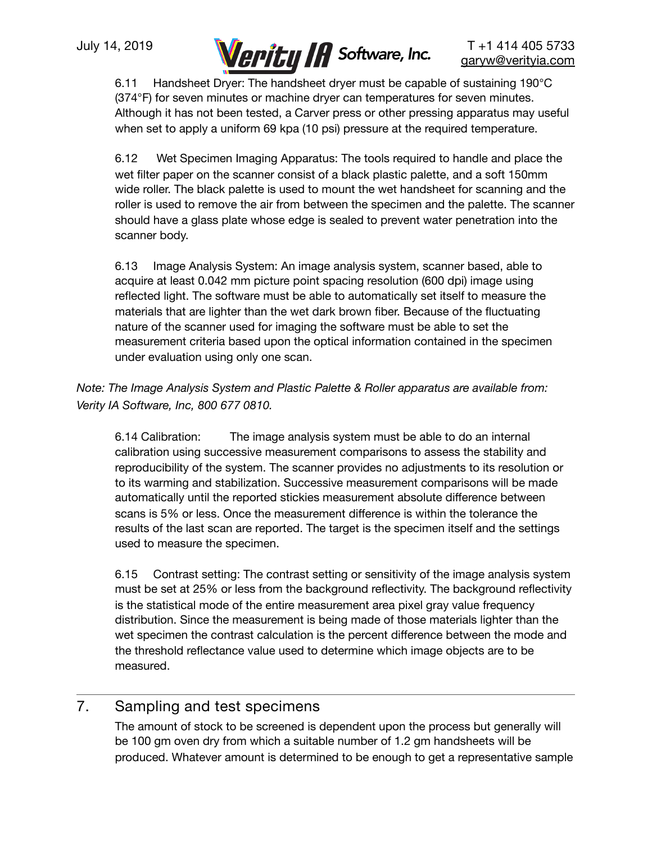

6.11 Handsheet Dryer: The handsheet dryer must be capable of sustaining 190°C (374°F) for seven minutes or machine dryer can temperatures for seven minutes. Although it has not been tested, a Carver press or other pressing apparatus may useful when set to apply a uniform 69 kpa (10 psi) pressure at the required temperature.

6.12 Wet Specimen Imaging Apparatus: The tools required to handle and place the wet filter paper on the scanner consist of a black plastic palette, and a soft 150mm wide roller. The black palette is used to mount the wet handsheet for scanning and the roller is used to remove the air from between the specimen and the palette. The scanner should have a glass plate whose edge is sealed to prevent water penetration into the scanner body.

6.13 Image Analysis System: An image analysis system, scanner based, able to acquire at least 0.042 mm picture point spacing resolution (600 dpi) image using reflected light. The software must be able to automatically set itself to measure the materials that are lighter than the wet dark brown fiber. Because of the fluctuating nature of the scanner used for imaging the software must be able to set the measurement criteria based upon the optical information contained in the specimen under evaluation using only one scan.

*Note: The Image Analysis System and Plastic Palette & Roller apparatus are available from: Verity IA Software, Inc, 800 677 0810.* 

6.14 Calibration: The image analysis system must be able to do an internal calibration using successive measurement comparisons to assess the stability and reproducibility of the system. The scanner provides no adjustments to its resolution or to its warming and stabilization. Successive measurement comparisons will be made automatically until the reported stickies measurement absolute difference between scans is 5% or less. Once the measurement difference is within the tolerance the results of the last scan are reported. The target is the specimen itself and the settings used to measure the specimen.

6.15 Contrast setting: The contrast setting or sensitivity of the image analysis system must be set at 25% or less from the background reflectivity. The background reflectivity is the statistical mode of the entire measurement area pixel gray value frequency distribution. Since the measurement is being made of those materials lighter than the wet specimen the contrast calculation is the percent difference between the mode and the threshold reflectance value used to determine which image objects are to be measured.

# 7. Sampling and test specimens

The amount of stock to be screened is dependent upon the process but generally will be 100 gm oven dry from which a suitable number of 1.2 gm handsheets will be produced. Whatever amount is determined to be enough to get a representative sample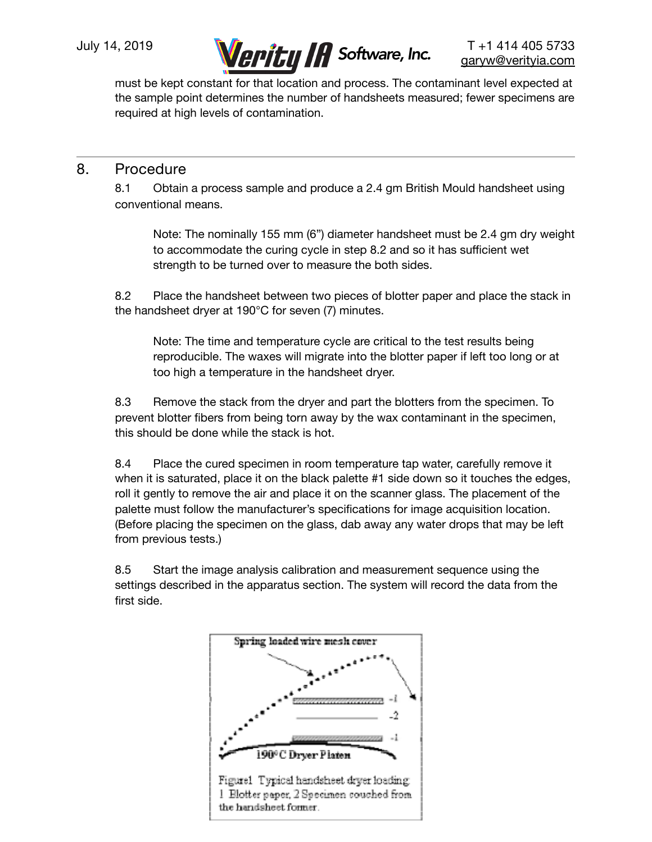

must be kept constant for that location and process. The contaminant level expected at the sample point determines the number of handsheets measured; fewer specimens are required at high levels of contamination.

# 8. Procedure

8.1 Obtain a process sample and produce a 2.4 gm British Mould handsheet using conventional means.

Note: The nominally 155 mm (6") diameter handsheet must be 2.4 gm dry weight to accommodate the curing cycle in step 8.2 and so it has sufficient wet strength to be turned over to measure the both sides.

8.2 Place the handsheet between two pieces of blotter paper and place the stack in the handsheet dryer at 190°C for seven (7) minutes.

Note: The time and temperature cycle are critical to the test results being reproducible. The waxes will migrate into the blotter paper if left too long or at too high a temperature in the handsheet dryer.

8.3 Remove the stack from the dryer and part the blotters from the specimen. To prevent blotter fibers from being torn away by the wax contaminant in the specimen, this should be done while the stack is hot.

8.4 Place the cured specimen in room temperature tap water, carefully remove it when it is saturated, place it on the black palette #1 side down so it touches the edges, roll it gently to remove the air and place it on the scanner glass. The placement of the palette must follow the manufacturer's specifications for image acquisition location. (Before placing the specimen on the glass, dab away any water drops that may be left from previous tests.)

8.5 Start the image analysis calibration and measurement sequence using the settings described in the apparatus section. The system will record the data from the first side.